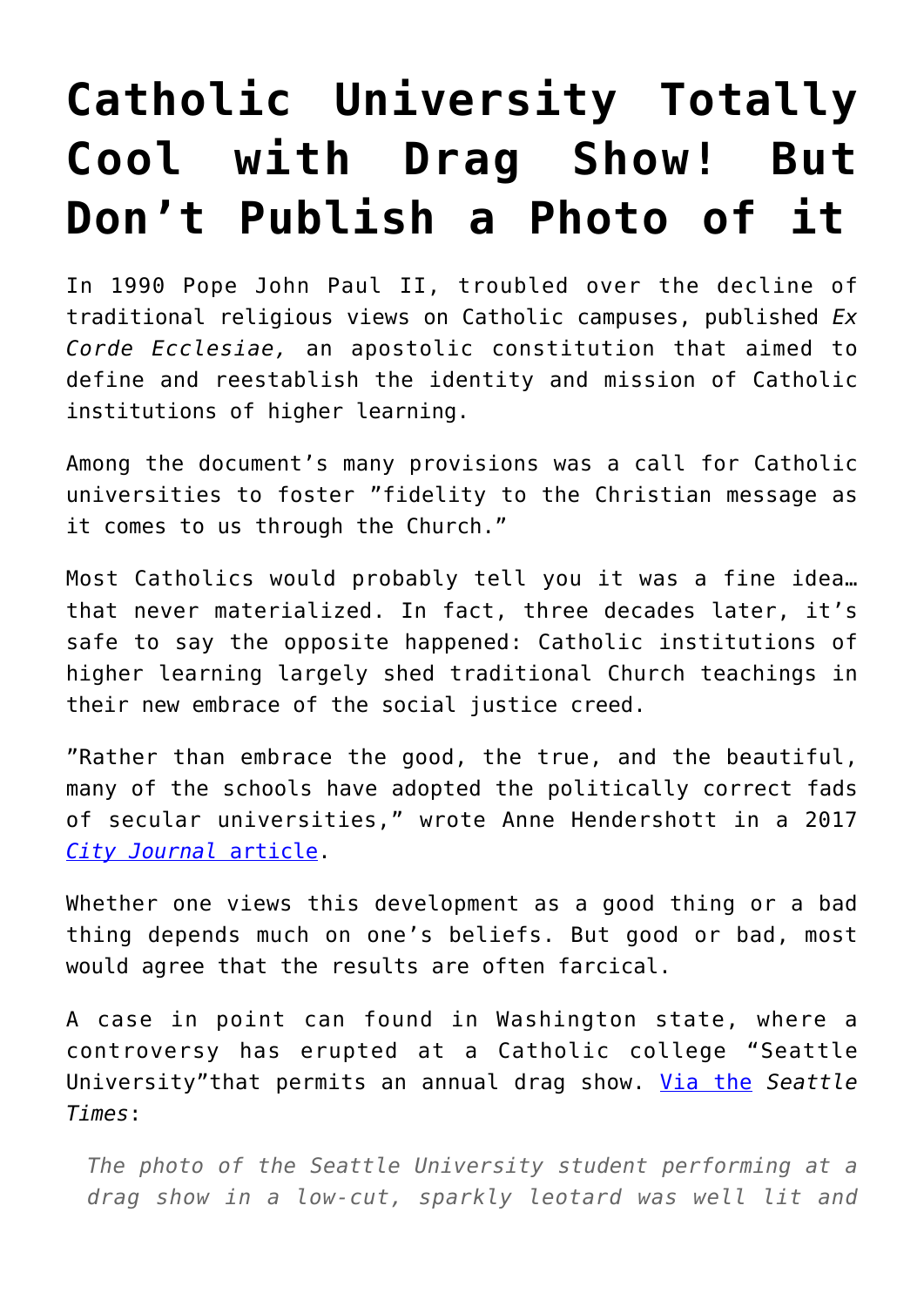## **[Catholic University Totally](https://intellectualtakeout.org/2018/04/catholic-university-totally-cool-with-drag-show-but-dont-publish-a-photo-of-it/) [Cool with Drag Show! But](https://intellectualtakeout.org/2018/04/catholic-university-totally-cool-with-drag-show-but-dont-publish-a-photo-of-it/) [Don't Publish a Photo of it](https://intellectualtakeout.org/2018/04/catholic-university-totally-cool-with-drag-show-but-dont-publish-a-photo-of-it/)**

In 1990 Pope John Paul II, troubled over the decline of traditional religious views on Catholic campuses, published *Ex Corde Ecclesiae,* an apostolic constitution that aimed to define and reestablish the identity and mission of Catholic institutions of higher learning.

Among the document's many provisions was a call for Catholic universities to foster "fidelity to the Christian message as it comes to us through the Church."

Most Catholics would probably tell you it was a fine idea… that never materialized. In fact, three decades later, it's safe to say the opposite happened: Catholic institutions of higher learning largely shed traditional Church teachings in their new embrace of the social justice creed.

"Rather than embrace the good, the true, and the beautiful, many of the schools have adopted the politically correct fads of secular universities," wrote Anne Hendershott in a 2017 *[City Journal](https://www.city-journal.org/html/taking-catholic-out-catholic-universities-15495.html)* [article](https://www.city-journal.org/html/taking-catholic-out-catholic-universities-15495.html).

Whether one views this development as a good thing or a bad thing depends much on one's beliefs. But good or bad, most would agree that the results are often farcical.

A case in point can found in Washington state, where a controversy has erupted at a Catholic college "Seattle University"that permits an annual drag show. [Via the](https://www.seattletimes.com/seattle-news/education/offended-seattle-u-professor-admits-taking-copies-of-student-newspaper-after-it-published-photo-of-performer-in-drag/) *Seattle Times*:

*The photo of the Seattle University student performing at a drag show in a low-cut, sparkly leotard was well lit and*